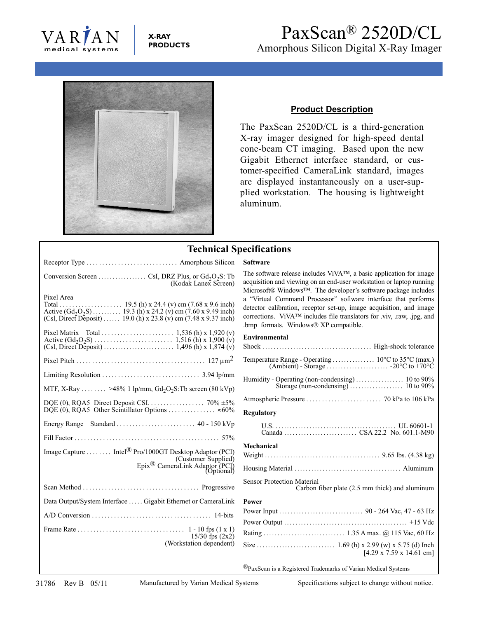

**X-RAY PRODUCTS**

## PaxScan® 2520D/CL Amorphous Silicon Digital X-Ray Imager



## **Product Description**

The PaxScan 2520D/CL is a third-generation X-ray imager designed for high-speed dental cone-beam CT imaging. Based upon the new Gigabit Ethernet interface standard, or customer-specified CameraLink standard, images are displayed instantaneously on a user-supplied workstation. The housing is lightweight aluminum.

## **Technical Specifications** Receptor Type ............................. Amorphous Silicon **Software** The software release includes ViVA™, a basic application for image Conversion Screen  $\dots \dots \dots$  CsI, DRZ Plus, or  $Gd_2O_2S$ : Tb (Kodak Lanex Screen) Pixel Area<br>Total ..... Total .................... 19.5 (h) x 24.4 (v) cm (7.68 x 9.6 inch) Active  $(Gd_2O_2S)$  . . . . . . . . . . 19.3 (h) x 24.2 (v) cm (7.60 x 9.49 inch) (Csl, Direct Deposit) ...... 19.0 (h) x 23.8 (v) cm (7.48 x 9.37 inch) .bmp formats. Windows® XP compatible. Pixel Matrix Total ....................... 1,536 (h) x 1,920 (v) **Environmental** Active (Gd2O2S) . . . . . . . . . . . . . . . . . . . . . . . . . 1,516 (h) x 1,900 (v) (Csl, Direct Deposit) ......................... 1,496 (h) x 1,874 (v) **Environmental** Pixel Pitch ......................................... 127 μm2 Limiting Resolution ............................... 3.94 lp/mm MTF, X-Ray  $\dots \dots$  >48% 1 lp/mm, Gd<sub>2</sub>O<sub>2</sub>S:Tb screen (80 kVp) DQE (0), RQA5 Direct Deposit CSI.................. 70% ±5% DQE (0), RQA5 Other Scintillator Options ............... ≈60% **Regulatory** Energy Range Standard . . . . . . . . . . . . . . . . . . . . . . . . . 40 - 150 kVp Fill Factor . . . . . . . . . . . . . . . . . . . . . . . . . . . . . . . . . . . . . . . . . . . . . . 57% Image Capture ........ Intel® Pro/1000GT Desktop Adaptor (PCI) **Mechanical** (Customer Supplied) Epix<sup>®</sup> CameraLink Adaptor (PCI) Sensor Protection Material Scan Method ..................................... Progressive Data Output/System Interface . . . . . Gigabit Ethernet or CameraLink **Power** A/D Conversion ...................................... 14-bits Frame Rate . . . . . . . . . . . . . . . . . . . . . . . . . . . . . . . . . . 1 - 10 fps (1 x 1)  $15/30$  fps  $(2x2)$ (Workstation dependent)

acquisition and viewing on an end-user workstation or laptop running Microsoft® Windows™. The developer's software package includes a "Virtual Command Processor" software interface that performs detector calibration, receptor set-up, image acquisition, and image corrections. ViVA™ includes file translators for .viv, .raw, .jpg, and

| <b>Regulatory</b>                                                                   |
|-------------------------------------------------------------------------------------|
|                                                                                     |
| Mechanical                                                                          |
|                                                                                     |
|                                                                                     |
| <b>Sensor Protection Material</b><br>Carbon fiber plate (2.5 mm thick) and aluminum |
| <b>Power</b>                                                                        |
|                                                                                     |
|                                                                                     |
|                                                                                     |
| $[4.29 \times 7.59 \times 14.61$ cm]                                                |
| <sup>®</sup> PaxScan is a Registered Trademarks of Varian Medical Systems           |